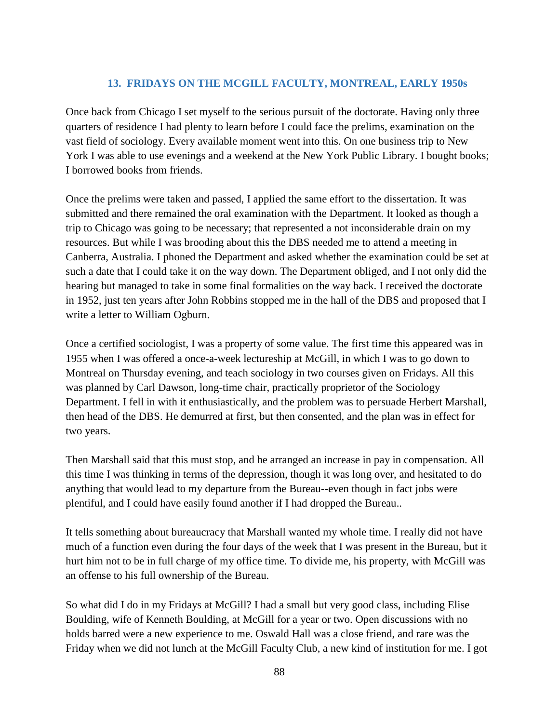## **13. FRIDAYS ON THE MCGILL FACULTY, MONTREAL, EARLY 1950s**

Once back from Chicago I set myself to the serious pursuit of the doctorate. Having only three quarters of residence I had plenty to learn before I could face the prelims, examination on the vast field of sociology. Every available moment went into this. On one business trip to New York I was able to use evenings and a weekend at the New York Public Library. I bought books; I borrowed books from friends.

Once the prelims were taken and passed, I applied the same effort to the dissertation. It was submitted and there remained the oral examination with the Department. It looked as though a trip to Chicago was going to be necessary; that represented a not inconsiderable drain on my resources. But while I was brooding about this the DBS needed me to attend a meeting in Canberra, Australia. I phoned the Department and asked whether the examination could be set at such a date that I could take it on the way down. The Department obliged, and I not only did the hearing but managed to take in some final formalities on the way back. I received the doctorate in 1952, just ten years after John Robbins stopped me in the hall of the DBS and proposed that I write a letter to William Ogburn.

Once a certified sociologist, I was a property of some value. The first time this appeared was in 1955 when I was offered a once-a-week lectureship at McGill, in which I was to go down to Montreal on Thursday evening, and teach sociology in two courses given on Fridays. All this was planned by Carl Dawson, long-time chair, practically proprietor of the Sociology Department. I fell in with it enthusiastically, and the problem was to persuade Herbert Marshall, then head of the DBS. He demurred at first, but then consented, and the plan was in effect for two years.

Then Marshall said that this must stop, and he arranged an increase in pay in compensation. All this time I was thinking in terms of the depression, though it was long over, and hesitated to do anything that would lead to my departure from the Bureau--even though in fact jobs were plentiful, and I could have easily found another if I had dropped the Bureau..

It tells something about bureaucracy that Marshall wanted my whole time. I really did not have much of a function even during the four days of the week that I was present in the Bureau, but it hurt him not to be in full charge of my office time. To divide me, his property, with McGill was an offense to his full ownership of the Bureau.

So what did I do in my Fridays at McGill? I had a small but very good class, including Elise Boulding, wife of Kenneth Boulding, at McGill for a year or two. Open discussions with no holds barred were a new experience to me. Oswald Hall was a close friend, and rare was the Friday when we did not lunch at the McGill Faculty Club, a new kind of institution for me. I got